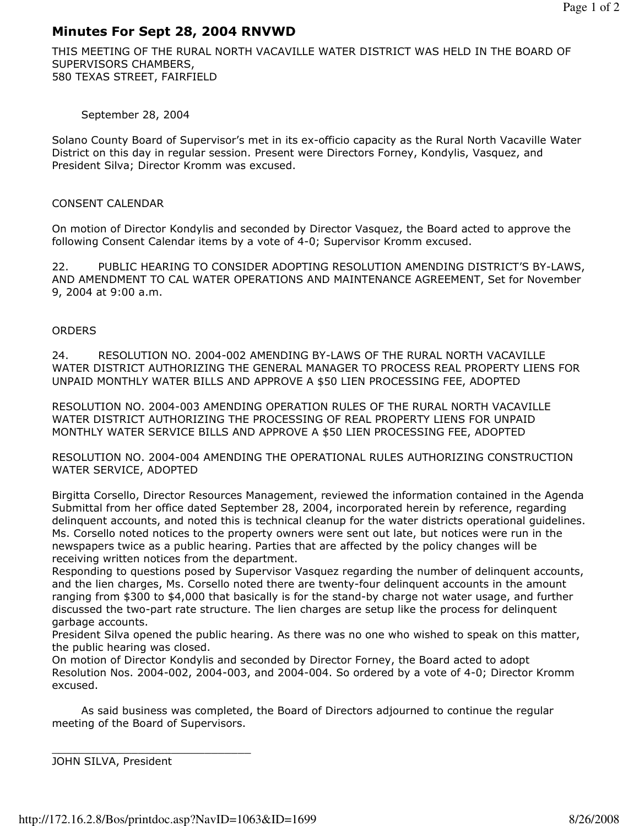## Minutes For Sept 28, 2004 RNVWD

THIS MEETING OF THE RURAL NORTH VACAVILLE WATER DISTRICT WAS HELD IN THE BOARD OF SUPERVISORS CHAMBERS, 580 TEXAS STREET, FAIRFIELD

## September 28, 2004

Solano County Board of Supervisor's met in its ex-officio capacity as the Rural North Vacaville Water District on this day in regular session. Present were Directors Forney, Kondylis, Vasquez, and President Silva; Director Kromm was excused.

## CONSENT CALENDAR

On motion of Director Kondylis and seconded by Director Vasquez, the Board acted to approve the following Consent Calendar items by a vote of 4-0; Supervisor Kromm excused.

22. PUBLIC HEARING TO CONSIDER ADOPTING RESOLUTION AMENDING DISTRICT'S BY-LAWS, AND AMENDMENT TO CAL WATER OPERATIONS AND MAINTENANCE AGREEMENT, Set for November 9, 2004 at 9:00 a.m.

## **ORDERS**

24. RESOLUTION NO. 2004-002 AMENDING BY-LAWS OF THE RURAL NORTH VACAVILLE WATER DISTRICT AUTHORIZING THE GENERAL MANAGER TO PROCESS REAL PROPERTY LIENS FOR UNPAID MONTHLY WATER BILLS AND APPROVE A \$50 LIEN PROCESSING FEE, ADOPTED

RESOLUTION NO. 2004-003 AMENDING OPERATION RULES OF THE RURAL NORTH VACAVILLE WATER DISTRICT AUTHORIZING THE PROCESSING OF REAL PROPERTY LIENS FOR UNPAID MONTHLY WATER SERVICE BILLS AND APPROVE A \$50 LIEN PROCESSING FEE, ADOPTED

RESOLUTION NO. 2004-004 AMENDING THE OPERATIONAL RULES AUTHORIZING CONSTRUCTION WATER SERVICE, ADOPTED

Birgitta Corsello, Director Resources Management, reviewed the information contained in the Agenda Submittal from her office dated September 28, 2004, incorporated herein by reference, regarding delinquent accounts, and noted this is technical cleanup for the water districts operational guidelines. Ms. Corsello noted notices to the property owners were sent out late, but notices were run in the newspapers twice as a public hearing. Parties that are affected by the policy changes will be receiving written notices from the department.

Responding to questions posed by Supervisor Vasquez regarding the number of delinquent accounts, and the lien charges, Ms. Corsello noted there are twenty-four delinquent accounts in the amount ranging from \$300 to \$4,000 that basically is for the stand-by charge not water usage, and further discussed the two-part rate structure. The lien charges are setup like the process for delinquent garbage accounts.

President Silva opened the public hearing. As there was no one who wished to speak on this matter, the public hearing was closed.

On motion of Director Kondylis and seconded by Director Forney, the Board acted to adopt Resolution Nos. 2004-002, 2004-003, and 2004-004. So ordered by a vote of 4-0; Director Kromm excused.

 As said business was completed, the Board of Directors adjourned to continue the regular meeting of the Board of Supervisors.

\_\_\_\_\_\_\_\_\_\_\_\_\_\_\_\_\_\_\_\_\_\_\_\_\_\_\_\_\_\_ JOHN SILVA, President